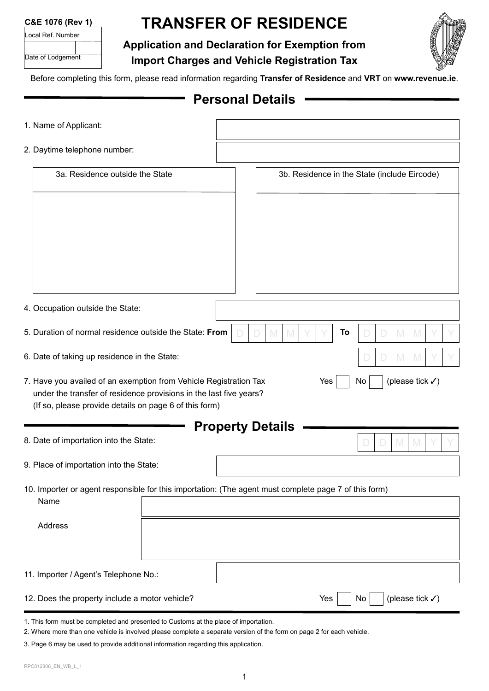| Local Ref. Number |  |  |  |  |
|-------------------|--|--|--|--|
|                   |  |  |  |  |
| Date of Lodgement |  |  |  |  |

# **TRANSFER OF RESIDENCE**

#### **Application and Declaration for Exemption from**



**Import Charges and Vehicle Registration Tax**

Before completing this form, please read information regarding **[Transfer of Residence](https://www.revenue.ie/en/importing-vehicles-duty-free-allowances/transfer-of-residence/index.aspx)** and **[VRT](https://www.revenue.ie/en/importing-vehicles-duty-free-allowances/guide-to-vrt/reliefs-and-exemptions/transfer-of-residence.aspx)** on **www.revenue.ie**.

#### **Personal Details**

| 1. Name of Applicant:                                                                                                                   |                         |        |    |                                              |
|-----------------------------------------------------------------------------------------------------------------------------------------|-------------------------|--------|----|----------------------------------------------|
| 2. Daytime telephone number:                                                                                                            |                         |        |    |                                              |
| 3a. Residence outside the State                                                                                                         |                         |        |    | 3b. Residence in the State (include Eircode) |
|                                                                                                                                         |                         |        |    |                                              |
|                                                                                                                                         |                         |        |    |                                              |
|                                                                                                                                         |                         |        |    |                                              |
|                                                                                                                                         |                         |        |    |                                              |
|                                                                                                                                         |                         |        |    |                                              |
| 4. Occupation outside the State:                                                                                                        |                         |        |    |                                              |
| 5. Duration of normal residence outside the State: From                                                                                 |                         | M<br>M | To | M<br>M                                       |
| 6. Date of taking up residence in the State:                                                                                            |                         |        |    | M<br>M                                       |
| 7. Have you availed of an exemption from Vehicle Registration Tax<br>under the transfer of residence provisions in the last five years? |                         | Yes    | No | (please tick $\checkmark$ )                  |
| (If so, please provide details on page 6 of this form)                                                                                  |                         |        |    |                                              |
| 8. Date of importation into the State:                                                                                                  | <b>Property Details</b> |        |    | M<br>D                                       |
| 9. Place of importation into the State:                                                                                                 |                         |        |    |                                              |
| 10. Importer or agent responsible for this importation: (The agent must complete page 7 of this form)<br>Name                           |                         |        |    |                                              |
| Address                                                                                                                                 |                         |        |    |                                              |
|                                                                                                                                         |                         |        |    |                                              |
| 11. Importer / Agent's Telephone No.:                                                                                                   |                         |        |    |                                              |
| 12. Does the property include a motor vehicle?                                                                                          |                         | Yes    | No | (please tick $\checkmark$ )                  |
| 1. This form must be completed and presented to Customs at the place of importation.                                                    |                         |        |    |                                              |

2. Where more than one vehicle is involved please complete a separate version of the form on page 2 for each vehicle.

3. Page 6 may be used to provide additional information regarding this application.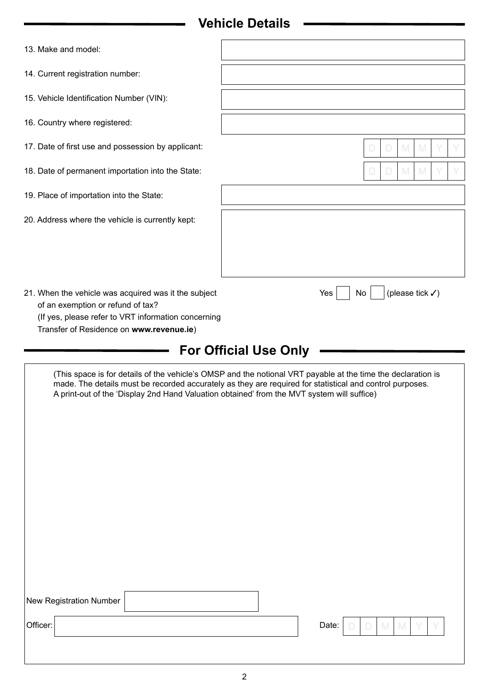## **Vehicle Details**

| 13. Make and model:                                                                                                                                                                                                                                                                                                    |                                          |  |  |  |  |  |  |
|------------------------------------------------------------------------------------------------------------------------------------------------------------------------------------------------------------------------------------------------------------------------------------------------------------------------|------------------------------------------|--|--|--|--|--|--|
| 14. Current registration number:                                                                                                                                                                                                                                                                                       |                                          |  |  |  |  |  |  |
| 15. Vehicle Identification Number (VIN):                                                                                                                                                                                                                                                                               |                                          |  |  |  |  |  |  |
| 16. Country where registered:                                                                                                                                                                                                                                                                                          |                                          |  |  |  |  |  |  |
| 17. Date of first use and possession by applicant:                                                                                                                                                                                                                                                                     | $\mathbb N$                              |  |  |  |  |  |  |
| 18. Date of permanent importation into the State:                                                                                                                                                                                                                                                                      | M<br>M                                   |  |  |  |  |  |  |
| 19. Place of importation into the State:                                                                                                                                                                                                                                                                               |                                          |  |  |  |  |  |  |
| 20. Address where the vehicle is currently kept:                                                                                                                                                                                                                                                                       |                                          |  |  |  |  |  |  |
|                                                                                                                                                                                                                                                                                                                        |                                          |  |  |  |  |  |  |
|                                                                                                                                                                                                                                                                                                                        |                                          |  |  |  |  |  |  |
| 21. When the vehicle was acquired was it the subject<br>of an exemption or refund of tax?<br>(If yes, please refer to VRT information concerning<br>Transfer of Residence on www.revenue.ie)                                                                                                                           | (please tick $\checkmark$ )<br>Yes<br>No |  |  |  |  |  |  |
| <b>For Official Use Only</b>                                                                                                                                                                                                                                                                                           |                                          |  |  |  |  |  |  |
| (This space is for details of the vehicle's OMSP and the notional VRT payable at the time the declaration is<br>made. The details must be recorded accurately as they are required for statistical and control purposes.<br>A print-out of the 'Display 2nd Hand Valuation obtained' from the MVT system will suffice) |                                          |  |  |  |  |  |  |

|          | New Registration Number |  |  |  |           |  |  |  |
|----------|-------------------------|--|--|--|-----------|--|--|--|
| Officer: |                         |  |  |  | Date: $ $ |  |  |  |
|          |                         |  |  |  |           |  |  |  |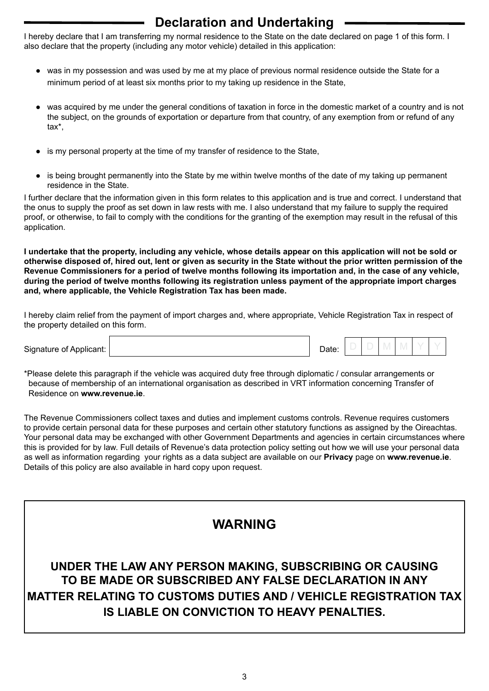## **Declaration and Undertaking**

I hereby declare that I am transferring my normal residence to the State on the date declared on page 1 of this form. I also declare that the property (including any motor vehicle) detailed in this application:

- was in my possession and was used by me at my place of previous normal residence outside the State for a minimum period of at least six months prior to my taking up residence in the State,
- was acquired by me under the general conditions of taxation in force in the domestic market of a country and is not the subject, on the grounds of exportation or departure from that country, of any exemption from or refund of any tax\*,
- is my personal property at the time of my transfer of residence to the State,
- is being brought permanently into the State by me within twelve months of the date of my taking up permanent residence in the State.

I further declare that the information given in this form relates to this application and is true and correct. I understand that the onus to supply the proof as set down in law rests with me. I also understand that my failure to supply the required proof, or otherwise, to fail to comply with the conditions for the granting of the exemption may result in the refusal of this application.

**I undertake that the property, including any vehicle, whose details appear on this application will not be sold or otherwise disposed of, hired out, lent or given as security in the State without the prior written permission of the Revenue Commissioners for a period of twelve months following its importation and, in the case of any vehicle, during the period of twelve months following its registration unless payment of the appropriate import charges and, where applicable, the Vehicle Registration Tax has been made.**

I hereby claim relief from the payment of import charges and, where appropriate, Vehicle Registration Tax in respect of the property detailed on this form.

| Signat<br>זחם זה פזווזו<br>`\Hf`<br>эн н |  |  |  |  |  |
|------------------------------------------|--|--|--|--|--|
|                                          |  |  |  |  |  |

\*Please delete this paragraph if the vehicle was acquired duty free through diplomatic / consular arrangements or because of membership of an international organisation as described in VRT information concerning Transfer of Residence on **[www.revenue.ie](https://www.revenue.ie/en/importing-vehicles-duty-free-allowances/transfer-of-residence/index.aspx)**.

The Revenue Commissioners collect taxes and duties and implement customs controls. Revenue requires customers to provide certain personal data for these purposes and certain other statutory functions as assigned by the Oireachtas. Your personal data may be exchanged with other Government Departments and agencies in certain circumstances where this is provided for by law. Full details of Revenue's data protection policy setting out how we will use your personal data as well as information regarding your rights as a data subject are available on our **[Privacy](https://www.revenue.ie/en/online-services/support/data-and-security/privacy/index.aspx)** page on **[www.revenue.ie](https://www.revenue.ie/en/online-services/support/data-and-security/privacy/index.aspx)**. Details of this policy are also available in hard copy upon request.

#### **WARNING**

**UNDER THE LAW ANY PERSON MAKING, SUBSCRIBING OR CAUSING TO BE MADE OR SUBSCRIBED ANY FALSE DECLARATION IN ANY MATTER RELATING TO CUSTOMS DUTIES AND / VEHICLE REGISTRATION TAX IS LIABLE ON CONVICTION TO HEAVY PENALTIES.**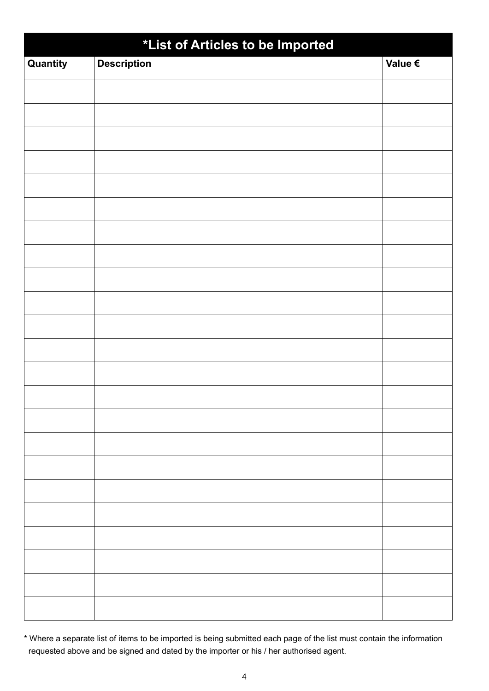| *List of Articles to be Imported |                    |         |  |  |  |  |  |
|----------------------------------|--------------------|---------|--|--|--|--|--|
| Quantity                         | <b>Description</b> | Value € |  |  |  |  |  |
|                                  |                    |         |  |  |  |  |  |
|                                  |                    |         |  |  |  |  |  |
|                                  |                    |         |  |  |  |  |  |
|                                  |                    |         |  |  |  |  |  |
|                                  |                    |         |  |  |  |  |  |
|                                  |                    |         |  |  |  |  |  |
|                                  |                    |         |  |  |  |  |  |
|                                  |                    |         |  |  |  |  |  |
|                                  |                    |         |  |  |  |  |  |
|                                  |                    |         |  |  |  |  |  |
|                                  |                    |         |  |  |  |  |  |
|                                  |                    |         |  |  |  |  |  |
|                                  |                    |         |  |  |  |  |  |
|                                  |                    |         |  |  |  |  |  |
|                                  |                    |         |  |  |  |  |  |
|                                  |                    |         |  |  |  |  |  |
|                                  |                    |         |  |  |  |  |  |
|                                  |                    |         |  |  |  |  |  |
|                                  |                    |         |  |  |  |  |  |
|                                  |                    |         |  |  |  |  |  |
|                                  |                    |         |  |  |  |  |  |
|                                  |                    |         |  |  |  |  |  |
|                                  |                    |         |  |  |  |  |  |

\* Where a separate list of items to be imported is being submitted each page of the list must contain the information requested above and be signed and dated by the importer or his / her authorised agent.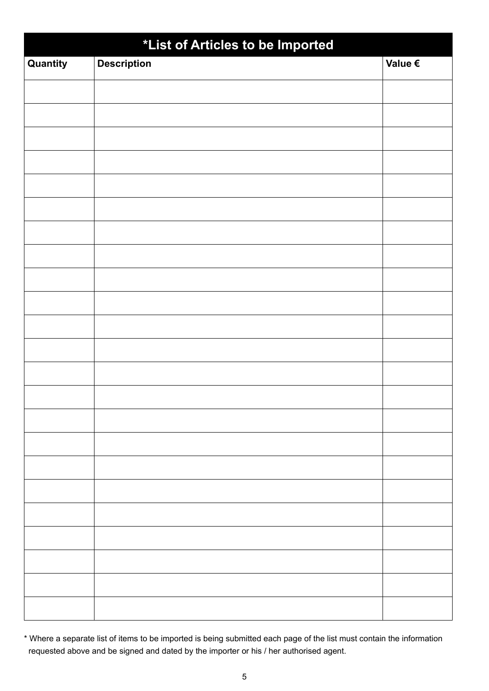| *List of Articles to be Imported |                    |         |  |  |  |  |  |  |
|----------------------------------|--------------------|---------|--|--|--|--|--|--|
| Quantity                         | <b>Description</b> | Value € |  |  |  |  |  |  |
|                                  |                    |         |  |  |  |  |  |  |
|                                  |                    |         |  |  |  |  |  |  |
|                                  |                    |         |  |  |  |  |  |  |
|                                  |                    |         |  |  |  |  |  |  |
|                                  |                    |         |  |  |  |  |  |  |
|                                  |                    |         |  |  |  |  |  |  |
|                                  |                    |         |  |  |  |  |  |  |
|                                  |                    |         |  |  |  |  |  |  |
|                                  |                    |         |  |  |  |  |  |  |
|                                  |                    |         |  |  |  |  |  |  |
|                                  |                    |         |  |  |  |  |  |  |
|                                  |                    |         |  |  |  |  |  |  |
|                                  |                    |         |  |  |  |  |  |  |
|                                  |                    |         |  |  |  |  |  |  |
|                                  |                    |         |  |  |  |  |  |  |
|                                  |                    |         |  |  |  |  |  |  |
|                                  |                    |         |  |  |  |  |  |  |
|                                  |                    |         |  |  |  |  |  |  |
|                                  |                    |         |  |  |  |  |  |  |
|                                  |                    |         |  |  |  |  |  |  |
|                                  |                    |         |  |  |  |  |  |  |
|                                  |                    |         |  |  |  |  |  |  |
|                                  |                    |         |  |  |  |  |  |  |

\* Where a separate list of items to be imported is being submitted each page of the list must contain the information requested above and be signed and dated by the importer or his / her authorised agent.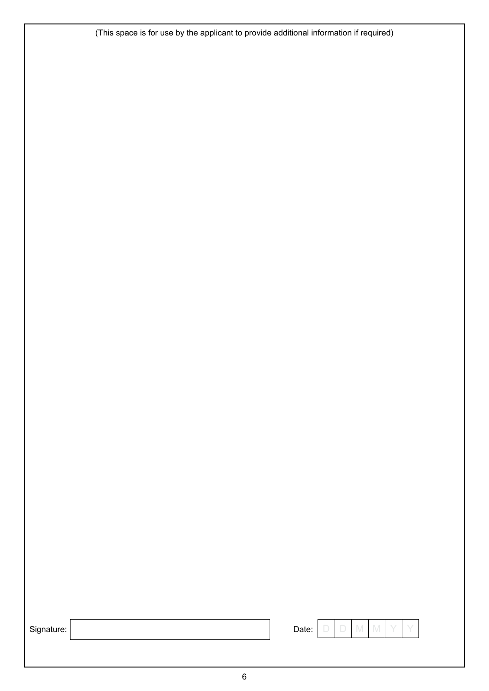(This space is for use by the applicant to provide additional information if required)

| Signature |  |  |  |
|-----------|--|--|--|
|           |  |  |  |

| Sign<br>iture. |  | -<br>Jate<br>_____ | $\frac{1}{2} \left( \frac{1}{2} \right) \left( \frac{1}{2} \right) \left( \frac{1}{2} \right) \left( \frac{1}{2} \right) \left( \frac{1}{2} \right) \left( \frac{1}{2} \right) \left( \frac{1}{2} \right) \left( \frac{1}{2} \right) \left( \frac{1}{2} \right) \left( \frac{1}{2} \right) \left( \frac{1}{2} \right) \left( \frac{1}{2} \right) \left( \frac{1}{2} \right) \left( \frac{1}{2} \right) \left( \frac{1}{2} \right) \left( \frac{1}{2} \right) \left( \frac$ |  |  |  |  |  |
|----------------|--|--------------------|----------------------------------------------------------------------------------------------------------------------------------------------------------------------------------------------------------------------------------------------------------------------------------------------------------------------------------------------------------------------------------------------------------------------------------------------------------------------------|--|--|--|--|--|
|----------------|--|--------------------|----------------------------------------------------------------------------------------------------------------------------------------------------------------------------------------------------------------------------------------------------------------------------------------------------------------------------------------------------------------------------------------------------------------------------------------------------------------------------|--|--|--|--|--|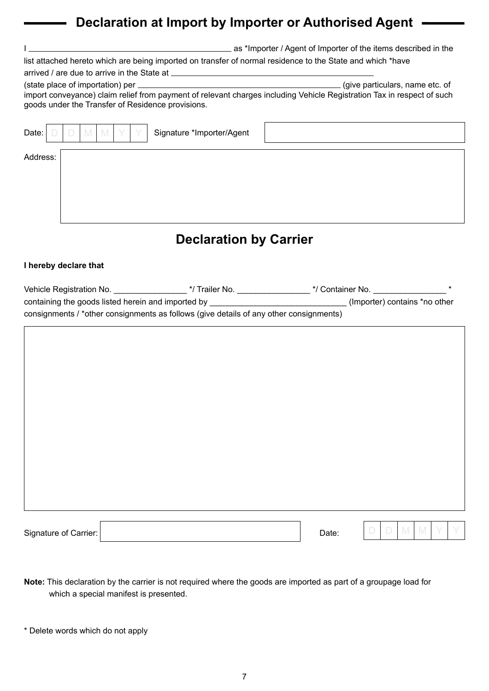## **Declaration at Import by Importer or Authorised Agent**

|                                                                                                                                                                             | as *Importer / Agent of Importer of the items described in the |
|-----------------------------------------------------------------------------------------------------------------------------------------------------------------------------|----------------------------------------------------------------|
| list attached hereto which are being imported on transfer of normal residence to the State and which *have                                                                  |                                                                |
|                                                                                                                                                                             |                                                                |
| import conveyance) claim relief from payment of relevant charges including Vehicle Registration Tax in respect of such<br>goods under the Transfer of Residence provisions. | (give particulars, name etc. of                                |
| Date:<br>Signature *Importer/Agent                                                                                                                                          |                                                                |
| Address:                                                                                                                                                                    |                                                                |

### **Declaration by Carrier**

#### **I hereby declare that**

| Vehicle Registration No.                                                               | */ Trailer No. | */ Container No.              |  |
|----------------------------------------------------------------------------------------|----------------|-------------------------------|--|
| containing the goods listed herein and imported by                                     |                | (Importer) contains *no other |  |
| consignments / *other consignments as follows (give details of any other consignments) |                |                               |  |

| Signature of Carrier: | Date: | M<br>M<br>$\Box$<br>Y<br>$\Box$<br>$\vee$ |
|-----------------------|-------|-------------------------------------------|

**Note:** This declaration by the carrier is not required where the goods are imported as part of a groupage load for which a special manifest is presented.

<sup>\*</sup> Delete words which do not apply